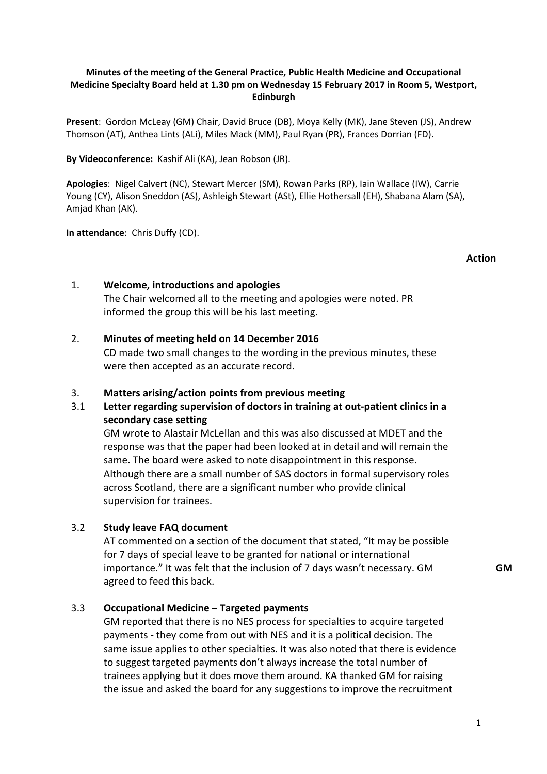# **Minutes of the meeting of the General Practice, Public Health Medicine and Occupational Medicine Specialty Board held at 1.30 pm on Wednesday 15 February 2017 in Room 5, Westport, Edinburgh**

**Present**: Gordon McLeay (GM) Chair, David Bruce (DB), Moya Kelly (MK), Jane Steven (JS), Andrew Thomson (AT), Anthea Lints (ALi), Miles Mack (MM), Paul Ryan (PR), Frances Dorrian (FD).

**By Videoconference:** Kashif Ali (KA), Jean Robson (JR).

**Apologies**: Nigel Calvert (NC), Stewart Mercer (SM), Rowan Parks (RP), Iain Wallace (IW), Carrie Young (CY), Alison Sneddon (AS), Ashleigh Stewart (ASt), Ellie Hothersall (EH), Shabana Alam (SA), Amjad Khan (AK).

**In attendance**: Chris Duffy (CD).

#### **Action**

# 1. **Welcome, introductions and apologies**

The Chair welcomed all to the meeting and apologies were noted. PR informed the group this will be his last meeting.

# 2. **Minutes of meeting held on 14 December 2016**

CD made two small changes to the wording in the previous minutes, these were then accepted as an accurate record.

# 3. **Matters arising/action points from previous meeting**

# 3.1 **Letter regarding supervision of doctors in training at out-patient clinics in a secondary case setting**

 GM wrote to Alastair McLellan and this was also discussed at MDET and the response was that the paper had been looked at in detail and will remain the same. The board were asked to note disappointment in this response. Although there are a small number of SAS doctors in formal supervisory roles across Scotland, there are a significant number who provide clinical supervision for trainees.

# 3.2 **Study leave FAQ document**

 AT commented on a section of the document that stated, "It may be possible for 7 days of special leave to be granted for national or international importance." It was felt that the inclusion of 7 days wasn't necessary. GM agreed to feed this back.

# 3.3 **Occupational Medicine – Targeted payments**

 GM reported that there is no NES process for specialties to acquire targeted payments - they come from out with NES and it is a political decision. The same issue applies to other specialties. It was also noted that there is evidence to suggest targeted payments don't always increase the total number of trainees applying but it does move them around. KA thanked GM for raising the issue and asked the board for any suggestions to improve the recruitment

**GM**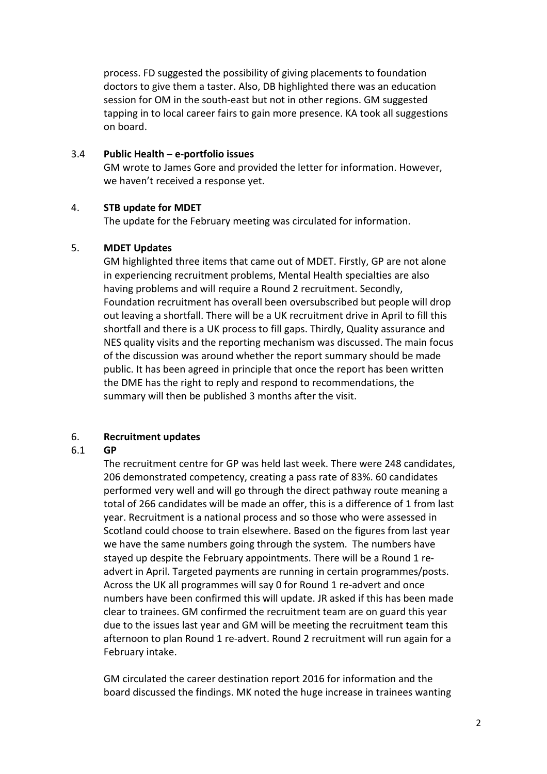process. FD suggested the possibility of giving placements to foundation doctors to give them a taster. Also, DB highlighted there was an education session for OM in the south-east but not in other regions. GM suggested tapping in to local career fairs to gain more presence. KA took all suggestions on board.

# 3.4 **Public Health – e-portfolio issues**

 GM wrote to James Gore and provided the letter for information. However, we haven't received a response yet.

# 4. **STB update for MDET**

The update for the February meeting was circulated for information.

# 5. **MDET Updates**

GM highlighted three items that came out of MDET. Firstly, GP are not alone in experiencing recruitment problems, Mental Health specialties are also having problems and will require a Round 2 recruitment. Secondly, Foundation recruitment has overall been oversubscribed but people will drop out leaving a shortfall. There will be a UK recruitment drive in April to fill this shortfall and there is a UK process to fill gaps. Thirdly, Quality assurance and NES quality visits and the reporting mechanism was discussed. The main focus of the discussion was around whether the report summary should be made public. It has been agreed in principle that once the report has been written the DME has the right to reply and respond to recommendations, the summary will then be published 3 months after the visit.

# 6. **Recruitment updates**

# 6.1 **GP**

 The recruitment centre for GP was held last week. There were 248 candidates, 206 demonstrated competency, creating a pass rate of 83%. 60 candidates performed very well and will go through the direct pathway route meaning a total of 266 candidates will be made an offer, this is a difference of 1 from last year. Recruitment is a national process and so those who were assessed in Scotland could choose to train elsewhere. Based on the figures from last year we have the same numbers going through the system. The numbers have stayed up despite the February appointments. There will be a Round 1 readvert in April. Targeted payments are running in certain programmes/posts. Across the UK all programmes will say 0 for Round 1 re-advert and once numbers have been confirmed this will update. JR asked if this has been made clear to trainees. GM confirmed the recruitment team are on guard this year due to the issues last year and GM will be meeting the recruitment team this afternoon to plan Round 1 re-advert. Round 2 recruitment will run again for a February intake.

GM circulated the career destination report 2016 for information and the board discussed the findings. MK noted the huge increase in trainees wanting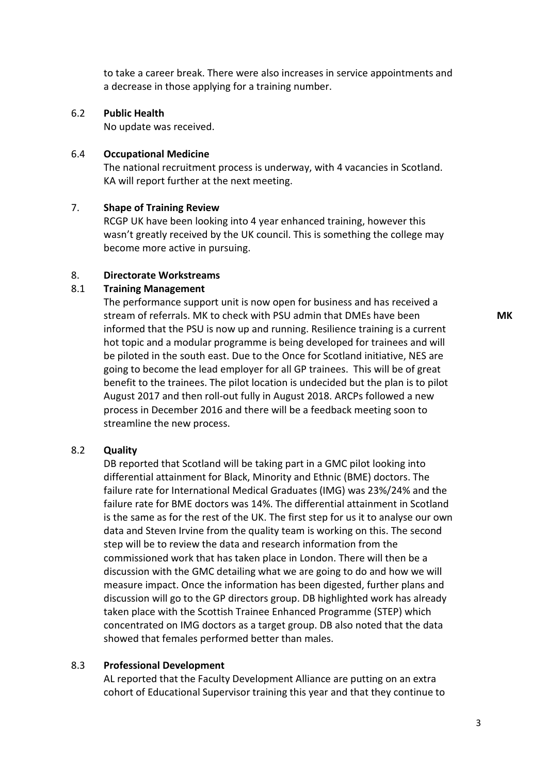to take a career break. There were also increases in service appointments and a decrease in those applying for a training number.

## 6.2 **Public Health**

No update was received.

#### 6.4 **Occupational Medicine**

 The national recruitment process is underway, with 4 vacancies in Scotland. KA will report further at the next meeting.

## 7. **Shape of Training Review**

 RCGP UK have been looking into 4 year enhanced training, however this wasn't greatly received by the UK council. This is something the college may become more active in pursuing.

### 8. **Directorate Workstreams**

## 8.1 **Training Management**

 The performance support unit is now open for business and has received a stream of referrals. MK to check with PSU admin that DMEs have been informed that the PSU is now up and running. Resilience training is a current hot topic and a modular programme is being developed for trainees and will be piloted in the south east. Due to the Once for Scotland initiative, NES are going to become the lead employer for all GP trainees. This will be of great benefit to the trainees. The pilot location is undecided but the plan is to pilot August 2017 and then roll-out fully in August 2018. ARCPs followed a new process in December 2016 and there will be a feedback meeting soon to streamline the new process.

### 8.2 **Quality**

DB reported that Scotland will be taking part in a GMC pilot looking into differential attainment for Black, Minority and Ethnic (BME) doctors. The failure rate for International Medical Graduates (IMG) was 23%/24% and the failure rate for BME doctors was 14%. The differential attainment in Scotland is the same as for the rest of the UK. The first step for us it to analyse our own data and Steven Irvine from the quality team is working on this. The second step will be to review the data and research information from the commissioned work that has taken place in London. There will then be a discussion with the GMC detailing what we are going to do and how we will measure impact. Once the information has been digested, further plans and discussion will go to the GP directors group. DB highlighted work has already taken place with the Scottish Trainee Enhanced Programme (STEP) which concentrated on IMG doctors as a target group. DB also noted that the data showed that females performed better than males.

#### 8.3 **Professional Development**

 AL reported that the Faculty Development Alliance are putting on an extra cohort of Educational Supervisor training this year and that they continue to **MK**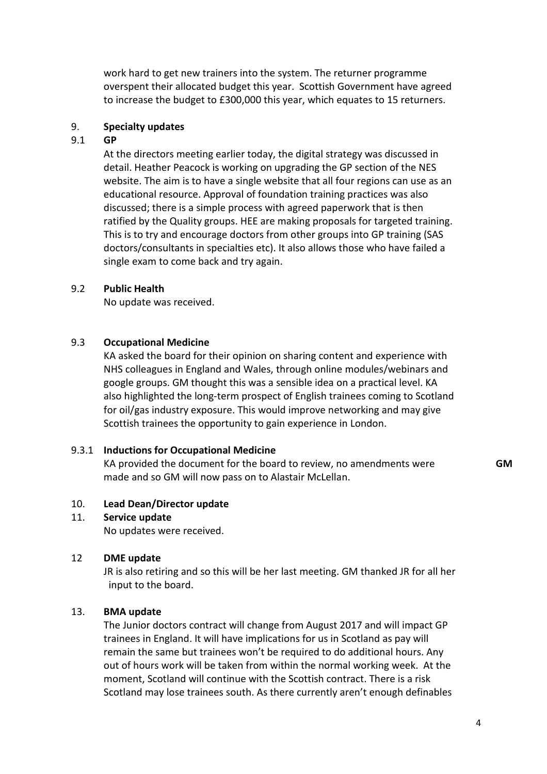work hard to get new trainers into the system. The returner programme overspent their allocated budget this year. Scottish Government have agreed to increase the budget to £300,000 this year, which equates to 15 returners.

## 9. **Specialty updates**

## 9.1 **GP**

 At the directors meeting earlier today, the digital strategy was discussed in detail. Heather Peacock is working on upgrading the GP section of the NES website. The aim is to have a single website that all four regions can use as an educational resource. Approval of foundation training practices was also discussed; there is a simple process with agreed paperwork that is then ratified by the Quality groups. HEE are making proposals for targeted training. This is to try and encourage doctors from other groups into GP training (SAS doctors/consultants in specialties etc). It also allows those who have failed a single exam to come back and try again.

## 9.2 **Public Health**

No update was received.

#### 9.3 **Occupational Medicine**

KA asked the board for their opinion on sharing content and experience with NHS colleagues in England and Wales, through online modules/webinars and google groups. GM thought this was a sensible idea on a practical level. KA also highlighted the long-term prospect of English trainees coming to Scotland for oil/gas industry exposure. This would improve networking and may give Scottish trainees the opportunity to gain experience in London.

# 9.3.1 **Inductions for Occupational Medicine**

KA provided the document for the board to review, no amendments were made and so GM will now pass on to Alastair McLellan.

#### 10. **Lead Dean/Director update**

#### 11. **Service update**

No updates were received.

#### 12 **DME update**

JR is also retiring and so this will be her last meeting. GM thanked JR for all her input to the board.

#### 13. **BMA update**

The Junior doctors contract will change from August 2017 and will impact GP trainees in England. It will have implications for us in Scotland as pay will remain the same but trainees won't be required to do additional hours. Any out of hours work will be taken from within the normal working week. At the moment, Scotland will continue with the Scottish contract. There is a risk Scotland may lose trainees south. As there currently aren't enough definables